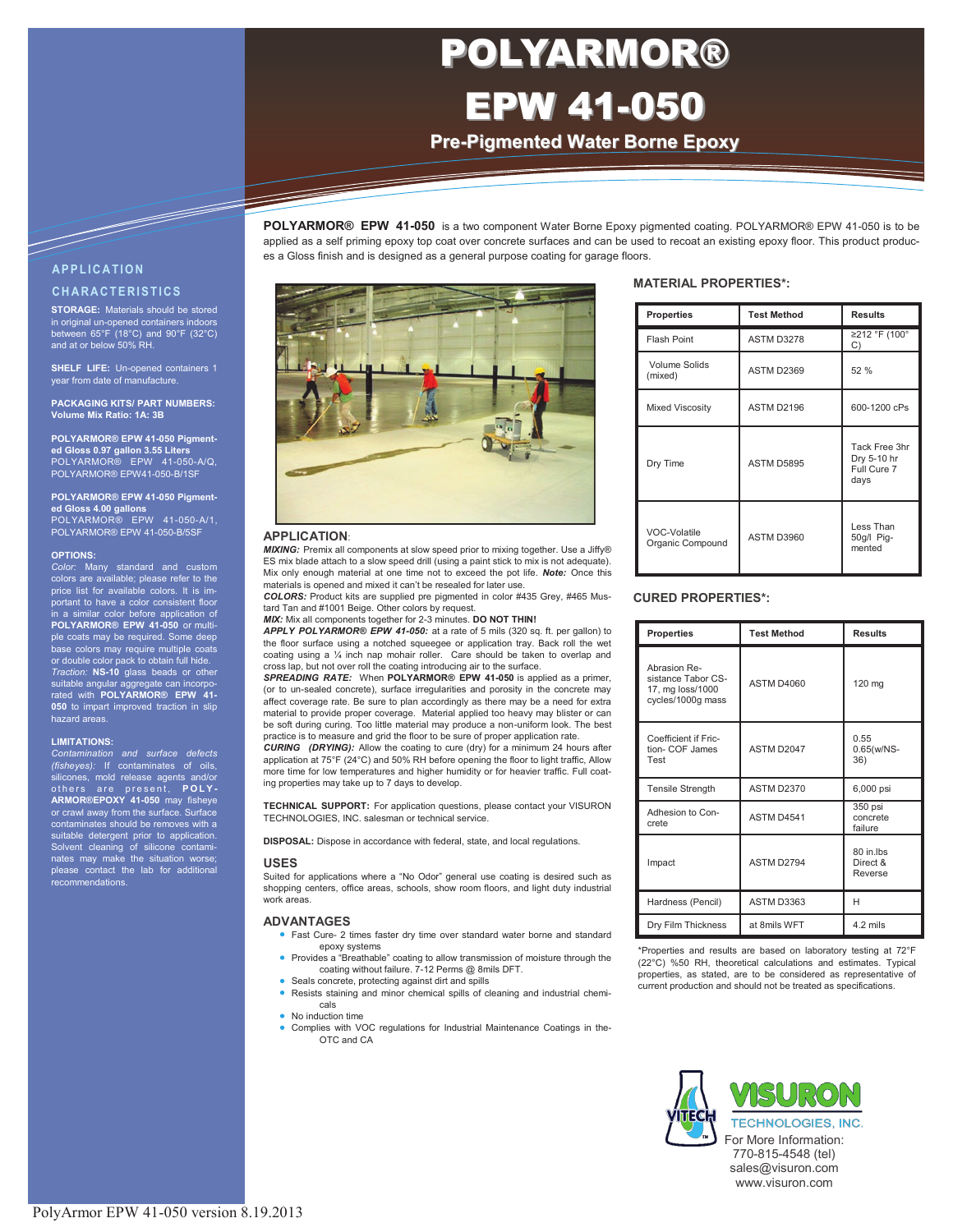# Information Technology Solutions POLYARMOR® EPW 41-050

**Pre-Pigmented Water Borne Epoxy**

**POLYARMOR® EPW 41-050** is a two component Water Borne Epoxy pigmented coating. POLYARMOR® EPW 41-050 is to be applied as a self priming epoxy top coat over concrete surfaces and can be used to recoat an existing epoxy floor. This product produc-

**A P P L I C A T I O N C H A R A C T E R I S T I C S**

**STORAGE:** Materials should be stored in original un-opened containers indoors between 65°F (18°C) and 90°F (32°C) and at or below 50% RH.

**SHELF LIFE:** Un-opened containers 1 year from date of manufacture.

**PACKAGING KITS/ PART NUMBERS: Volume Mix Ratio: 1A: 3B**

**POLYARMOR® EPW 41-050 Pigmented Gloss 0.97 gallon 3.55 Liters** POLYARMOR® EPW 41-050-A/Q, POLYARMOR® EPW41-050-B/1SF

# **POLYARMOR® EPW 41-050 Pigmented Gloss 4.00 gallons** POLYARMOR® EPW 41-050-A/1, POLYARMOR® EPW 41-050-B/5SF

**OPTIONS:**

*Color:* Many standard and custom colors are available; please refer to the ist for available colors. It is important to have a color consistent floor in a similar color before application of **POLYARMOR® EPW 41-050** or multiple coats may be required. Some deep base colors may require multiple coats or double color pack to obtain full hide. *Traction:* **NS-10** glass beads or other suitable angular aggregate can incorpo-rated with **POLYARMOR® EPW 41- 050** to impart improved traction in slip hazard areas.

### **LIMITATIONS:**

Contamination and surface defects<br>(fisheyes): If contaminates of oils,<br>silicones, mold release agents and/or<br>others are present, POLY-<br>ARMOR®EPOXY 41-050 may fisheye<br>or crawl away from the surface. Surface contaminates should be removes with a suitable detergent prior to application. Solvent cleaning of silicone contami-nates may make the situation worse; please contact the lab for additional .<br>recommendations



es a Gloss finish and is designed as a general purpose coating for garage floors.

### **APPLICATION**:

*MIXING:* Premix all components at slow speed prior to mixing together. Use a Jiffy® ES mix blade attach to a slow speed drill (using a paint stick to mix is not adequate). Mix only enough material at one time not to exceed the pot life. *Note:* Once this materials is opened and mixed it can't be resealed for later use.

*COLORS:* Product kits are supplied pre pigmented in color #435 Grey, #465 Mustard Tan and #1001 Beige. Other colors by request.

*MIX:* Mix all components together for 2-3 minutes. **DO NOT THIN!**

*APPLY POLYARMOR® EPW 41-050:* at a rate of 5 mils (320 sq. ft. per gallon) to the floor surface using a notched squeegee or application tray. Back roll the wet coating using a ¼ inch nap mohair roller. Care should be taken to overlap and cross lap, but not over roll the coating introducing air to the surface.

*SPREADING RATE:* When **POLYARMOR® EPW 41-050** is applied as a primer, (or to un-sealed concrete), surface irregularities and porosity in the concrete may affect coverage rate. Be sure to plan accordingly as there may be a need for extra material to provide proper coverage. Material applied too heavy may blister or can be soft during curing. Too little material may produce a non-uniform look. The best practice is to measure and grid the floor to be sure of proper application rate.

*CURING (DRYING):* Allow the coating to cure (dry) for a minimum 24 hours after application at 75°F (24°C) and 50% RH before opening the floor to light traffic, Allow more time for low temperatures and higher humidity or for heavier traffic. Full coating properties may take up to 7 days to develop.

**TECHNICAL SUPPORT:** For application questions, please contact your VISURON TECHNOLOGIES, INC. salesman or technical service.

**DISPOSAL:** Dispose in accordance with federal, state, and local regulations.

### **USES**

Suited for applications where a "No Odor" general use coating is desired such as shopping centers, office areas, schools, show room floors, and light duty industrial work areas.

### **ADVANTAGES**

- Fast Cure- 2 times faster dry time over standard water borne and standard epoxy systems
- Provides a "Breathable" coating to allow transmission of moisture through the coating without failure. 7-12 Perms @ 8mils DFT.
- Seals concrete, protecting against dirt and spills
- Resists staining and minor chemical spills of cleaning and industrial chemicals
- No induction time
- Complies with VOC regulations for Industrial Maintenance Coatings in the-OTC and CA

### **MATERIAL PROPERTIES\*:**

| <b>Properties</b>                | <b>Test Method</b> | <b>Results</b>                                      |
|----------------------------------|--------------------|-----------------------------------------------------|
| Flash Point                      | ASTM D3278         | ≥212 °F (100°<br>C)                                 |
| Volume Solids<br>(mixed)         | ASTM D2369         | 52 %                                                |
| <b>Mixed Viscosity</b>           | ASTM D2196         | 600-1200 cPs                                        |
| Dry Time                         | ASTM D5895         | Tack Free 3hr<br>Dry 5-10 hr<br>Full Cure 7<br>days |
| VOC-Volatile<br>Organic Compound | ASTM D3960         | Less Than<br>50g/l Pig-<br>mented                   |

### **CURED PROPERTIES\*:**

| <b>Properties</b>                                                           | <b>Test Method</b> | <b>Results</b>                   |
|-----------------------------------------------------------------------------|--------------------|----------------------------------|
| Abrasion Re-<br>sistance Tabor CS-<br>17, mg loss/1000<br>cycles/1000g mass | <b>ASTM D4060</b>  | 120 mg                           |
| Coefficient if Fric-<br>tion- COF James<br>Test                             | ASTM D2047         | 0.55<br>$0.65(w/NS -$<br>36)     |
| <b>Tensile Strength</b>                                                     | <b>ASTM D2370</b>  | 6,000 psi                        |
| Adhesion to Con-<br>crete                                                   | ASTM D4541         | 350 psi<br>concrete<br>failure   |
| Impact                                                                      | ASTM D2794         | 80 in lbs<br>Direct &<br>Reverse |
| Hardness (Pencil)                                                           | ASTM D3363         | н                                |
| Dry Film Thickness                                                          | at 8mils WFT       | 4.2 mils                         |

\*Properties and results are based on laboratory testing at 72°F (22°C) %50 RH, theoretical calculations and estimates. Typical properties, as stated, are to be considered as representative of current production and should not be treated as specifications.